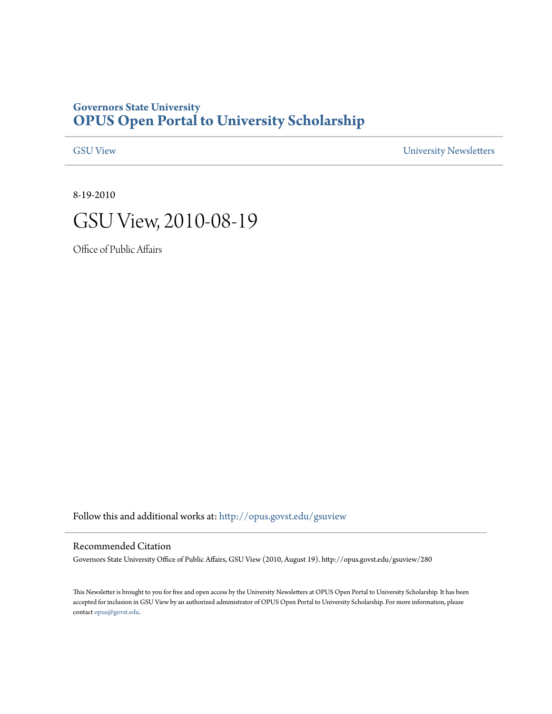## **Governors State University [OPUS Open Portal to University Scholarship](http://opus.govst.edu?utm_source=opus.govst.edu%2Fgsuview%2F280&utm_medium=PDF&utm_campaign=PDFCoverPages)**

[GSU View](http://opus.govst.edu/gsuview?utm_source=opus.govst.edu%2Fgsuview%2F280&utm_medium=PDF&utm_campaign=PDFCoverPages) [University Newsletters](http://opus.govst.edu/newsletters?utm_source=opus.govst.edu%2Fgsuview%2F280&utm_medium=PDF&utm_campaign=PDFCoverPages)

8-19-2010



Office of Public Affairs

Follow this and additional works at: [http://opus.govst.edu/gsuview](http://opus.govst.edu/gsuview?utm_source=opus.govst.edu%2Fgsuview%2F280&utm_medium=PDF&utm_campaign=PDFCoverPages)

#### Recommended Citation

Governors State University Office of Public Affairs, GSU View (2010, August 19). http://opus.govst.edu/gsuview/280

This Newsletter is brought to you for free and open access by the University Newsletters at OPUS Open Portal to University Scholarship. It has been accepted for inclusion in GSU View by an authorized administrator of OPUS Open Portal to University Scholarship. For more information, please contact [opus@govst.edu](mailto:opus@govst.edu).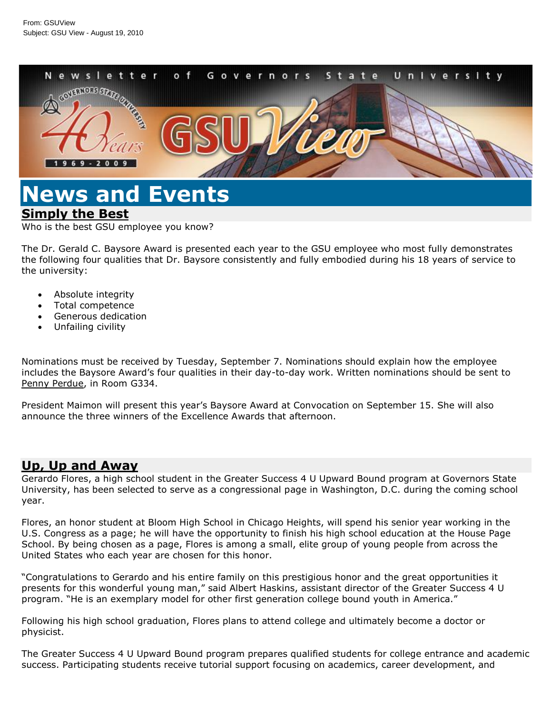

# **News and Events [Simply the Best](/default.aspx?id=38588&blogid=734)**

Who is the best GSU employee you know?

The Dr. Gerald C. Baysore Award is presented each year to the GSU employee who most fully demonstrates the following four qualities that Dr. Baysore consistently and fully embodied during his 18 years of service to the university:

- Absolute integrity
- Total competence
- Generous dedication
- Unfailing civility

Nominations must be received by Tuesday, September 7. Nominations should explain how the employee includes the Baysore Award's four qualities in their day-to-day work. Written nominations should be sent to [Penny Perdue,](mailto:p-perdue@govst.edu) in Room G334.

President Maimon will present this year's Baysore Award at Convocation on September 15. She will also announce the three winners of the Excellence Awards that afternoon.

#### **[Up, Up and Away](/default.aspx?id=38587&blogid=734)**

Gerardo Flores, a high school student in the Greater Success 4 U Upward Bound program at Governors State University, has been selected to serve as a congressional page in Washington, D.C. during the coming school year.

Flores, an honor student at Bloom High School in Chicago Heights, will spend his senior year working in the U.S. Congress as a page; he will have the opportunity to finish his high school education at the House Page School. By being chosen as a page, Flores is among a small, elite group of young people from across the United States who each year are chosen for this honor.

"Congratulations to Gerardo and his entire family on this prestigious honor and the great opportunities it presents for this wonderful young man," said Albert Haskins, assistant director of the Greater Success 4 U program. "He is an exemplary model for other first generation college bound youth in America."

Following his high school graduation, Flores plans to attend college and ultimately become a doctor or physicist.

The Greater Success 4 U Upward Bound program prepares qualified students for college entrance and academic success. Participating students receive tutorial support focusing on academics, career development, and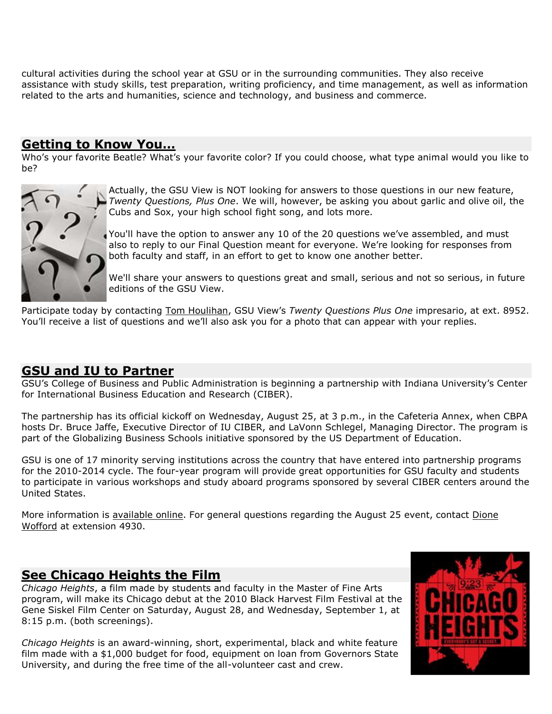cultural activities during the school year at GSU or in the surrounding communities. They also receive assistance with study skills, test preparation, writing proficiency, and time management, as well as information related to the arts and humanities, science and technology, and business and commerce.

#### **[Getting to Know You…](/default.aspx?id=38586&blogid=734)**

Who's your favorite Beatle? What's your favorite color? If you could choose, what type animal would you like to be?



Actually, the GSU View is NOT looking for answers to those questions in our new feature, *Twenty Questions, Plus One*. We will, however, be asking you about garlic and olive oil, the Cubs and Sox, your high school fight song, and lots more.

You'll have the option to answer any 10 of the 20 questions we've assembled, and must also to reply to our Final Question meant for everyone. We're looking for responses from both faculty and staff, in an effort to get to know one another better.

We'll share your answers to questions great and small, serious and not so serious, in future editions of the GSU View.

Participate today by contacting [Tom Houlihan](mailto:t-houlihan@govst.edu), GSU View's *Twenty Questions Plus One* impresario, at ext. 8952. You'll receive a list of questions and we'll also ask you for a photo that can appear with your replies.

#### **[GSU and IU to Partner](/default.aspx?id=38585&blogid=734)**

GSU's College of Business and Public Administration is beginning a partnership with Indiana University's Center for International Business Education and Research (CIBER).

The partnership has its official kickoff on Wednesday, August 25, at 3 p.m., in the Cafeteria Annex, when CBPA hosts Dr. Bruce Jaffe, Executive Director of IU CIBER, and LaVonn Schlegel, Managing Director. The program is part of the Globalizing Business Schools initiative sponsored by the US Department of Education.

GSU is one of 17 minority serving institutions across the country that have entered into partnership programs for the 2010-2014 cycle. The four-year program will provide great opportunities for GSU faculty and students to participate in various workshops and study aboard programs sponsored by several CIBER centers around the United States.

More information is [available online.](http://homepages.indiana.edu/web/page/normal/14936.html) For general questions regarding the August 25 event, contact Dione [Wofford](mailto:d-wofford@govst.edu) at extension 4930.

#### **[See Chicago Heights the Film](/default.aspx?id=38584&blogid=734)**

*Chicago Heights*, a film made by students and faculty in the Master of Fine Arts program, will make its Chicago debut at the 2010 Black Harvest Film Festival at the Gene Siskel Film Center on Saturday, August 28, and Wednesday, September 1, at 8:15 p.m. (both screenings).

*Chicago Heights* is an award-winning, short, experimental, black and white feature film made with a \$1,000 budget for food, equipment on loan from Governors State University, and during the free time of the all-volunteer cast and crew.